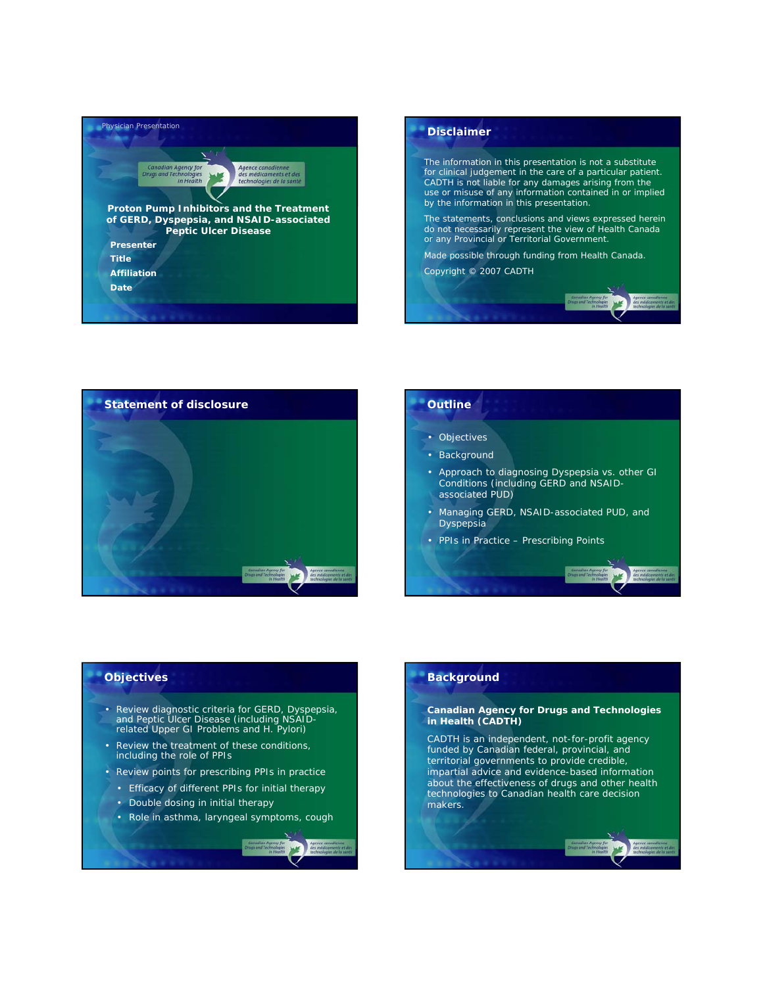





## • Objectives • Background • Approach to diagnosing Dyspepsia vs. other GI Conditions (including GERD and NSAIDassociated PUD) • Managing GERD, NSAID-associated PUD, and **Dyspepsia** • PPIs in Practice – Prescribing Points

#### **Objectives**

- Review diagnostic criteria for GERD, Dyspepsia, and Peptic Ulcer Disease (including NSAID-related Upper GI Problems and *H. Pylori*)
- Review the treatment of these conditions, including the role of PPIs
- Review points for prescribing PPIs in practice
	- Efficacy of different PPIs for initial therapy
	- Double dosing in initial therapy
	- Role in asthma, laryngeal symptoms, cough

#### **Background**

#### **Canadian Agency for Drugs and Technologies in Health (CADTH)**

CADTH is an independent, not-for-profit agency funded by Canadian federal, provincial, and territorial governments to provide credible, impartial advice and evidence-based information about the effectiveness of drugs and other health technologies to Canadian health care decision makers.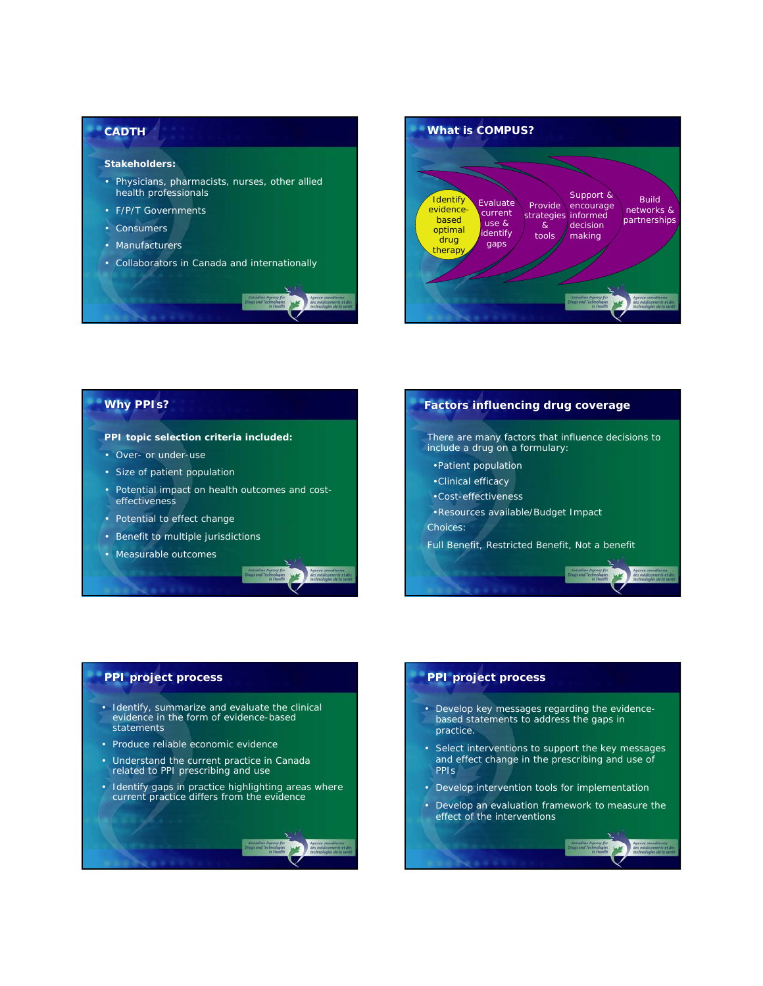#### **CADTH**

#### **Stakeholders:**

- Physicians, pharmacists, nurses, other allied health professionals
- F/P/T Governments
- Consumers
- Manufacturers
- Collaborators in Canada and internationally



#### **Why PPIs?**

#### **PPI topic selection criteria included:**

- Over- or under-use
- Size of patient population
- Potential impact on health outcomes and costeffectiveness
- Potential to effect change
- Benefit to multiple jurisdictions
- Measurable outcomes



## **Factors influencing drug coverage** There are many factors that influence decisions to include a drug on a formulary: •Patient population •Clinical efficacy •Cost-effectiveness •Resources available/Budget Impact Choices: Full Benefit, Restricted Benefit, Not a benefit

#### **PPI project process**

- Identify, summarize and evaluate the clinical evidence in the form of evidence-based statements
- Produce reliable economic evidence
- Understand the current practice in Canada related to PPI prescribing and use
- Identify gaps in practice highlighting areas where current practice differs from the evidence



#### **PPI project process**

- Develop key messages regarding the evidencebased statements to address the gaps in practice.
- Select interventions to support the key messages and effect change in the prescribing and use of PPIs
- Develop intervention tools for implementation
- Develop an evaluation framework to measure the effect of the interventions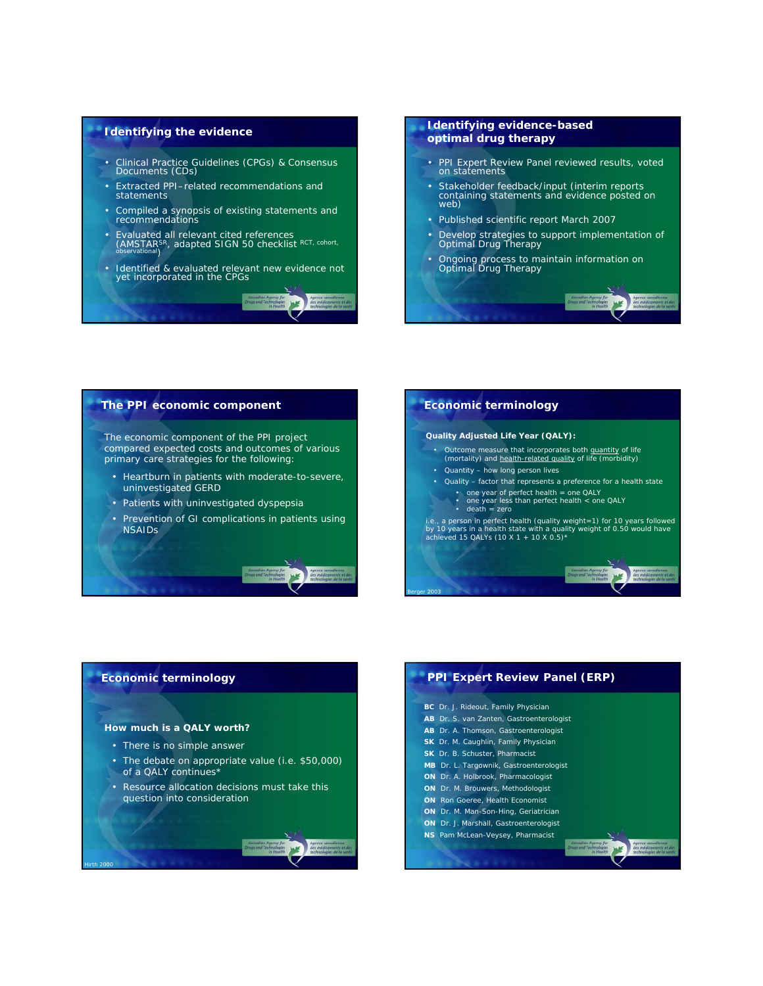#### **Identifying the evidence**

- Clinical Practice Guidelines (CPGs) & Consensus Documents (CDs)
- Extracted PPI–related recommendations and statements
- Compiled a synopsis of existing statements and recommendations
- Evaluated all relevant cited references<br>
(AMSTAR<sup>SR</sup>, adapted SIGN 50 checklist RCT, cohort,<br>
<sub>observational</sub>
- Identified & evaluated relevant new evidence not yet incorporated in the CPGs

#### **Identifying evidence-based optimal drug therapy**

- PPI Expert Review Panel reviewed results, voted on statements
- Stakeholder feedback/input (interim reports containing statements and evidence posted on web)
- Published scientific report March 2007
- Develop strategies to support implementation of Optimal Drug Therapy
- Ongoing process to maintain information on Optimal Drug Therapy

#### **The PPI economic component**

The economic component of the PPI project compared expected costs and outcomes of various primary care strategies for the following:

- Heartburn in patients with moderate-to-severe, uninvestigated GERD
- Patients with uninvestigated dyspepsia
- Prevention of GI complications in patients using NSAIDs

## **Economic terminology**

#### **Quality Adjusted Life Year (QALY):**

- Outcome measure that incorporates both quantity of life (mortality) and health-related quality of life (morbidity)
- Quantity how long person lives
- Quality factor that represents a preference for a health state
	-
	- one year of perfect health = one QALY one year less than perfect health < one QALY death = zero

i.e., a person in perfect health (quality weight=1) for 10 years followed by 10 years in a health state with a quality weight of 0.50 would have achieved 15 QALYs (10 X 1 + 10 X 0.5)\*



#### **Economic terminology**

#### **How much is a QALY worth?**

*Hirth 2000*

- There is no simple answer
- The debate on appropriate value (i.e. \$50,000) of a QALY continues\*
- Resource allocation decisions must take this question into consideration

#### **PPI Expert Review Panel (ERP) BC** Dr. J. Rideout, Family Physician **AB** Dr. S. van Zanten, Gastroenterologist **AB** Dr. A. Thomson, Gastroenterologist **SK** Dr. M. Caughlin, Family Physician **SK** Dr. B. Schuster, Pharmacist **MB** Dr. L. Targownik, Gastroenterologist **ON** Dr. A. Holbrook, Pharmacologist **ON** Dr. M. Brouwers, Methodologist **ON** Ron Goeree, Health Economist **ON** Dr. M. Man-Son-Hing, Geriatrician **ON** Dr. J. Marshall, Gastroenterologist **NS** Pam McLean-Veysey, Pharmacist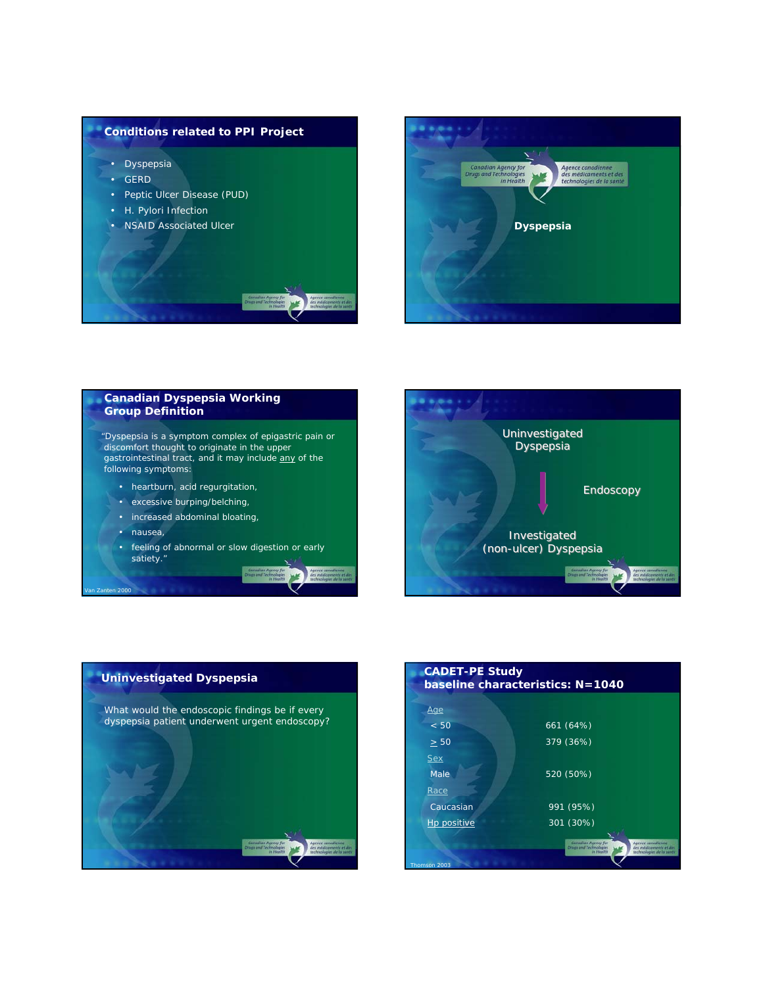





*Van Zanten 2000*





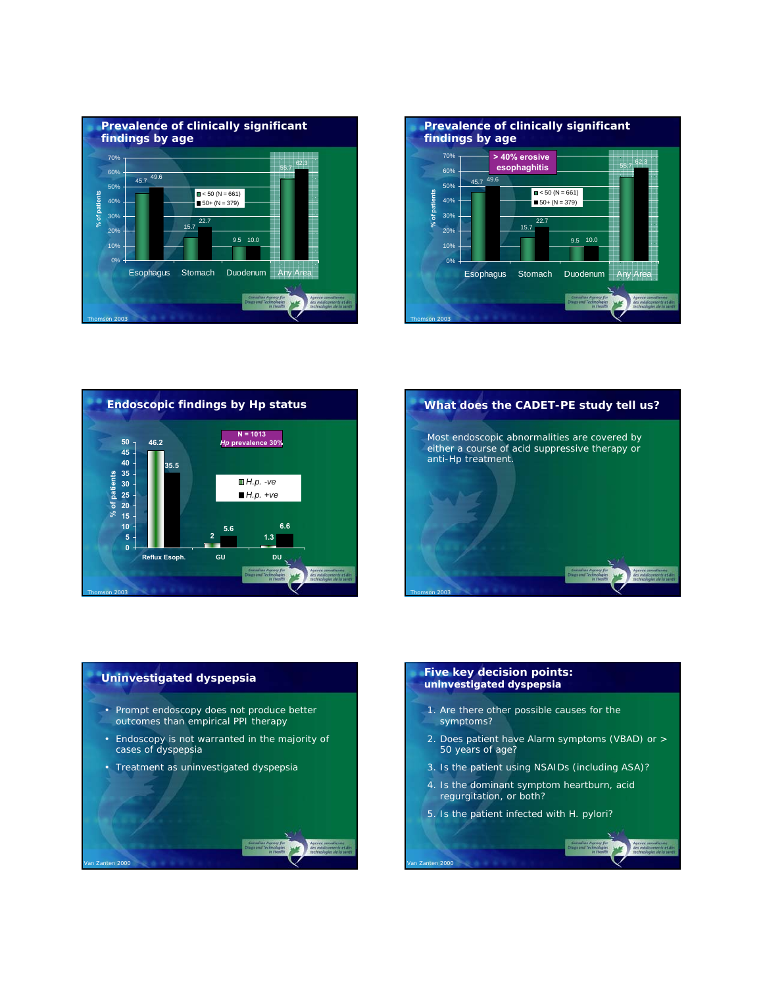







#### **Uninvestigated dyspepsia**

*Van Zanten 2000*

- Prompt endoscopy does not produce better outcomes than empirical PPI therapy
- Endoscopy is not warranted in the majority of cases of dyspepsia
- Treatment as uninvestigated dyspepsia

#### **Five key decision points: uninvestigated dyspepsia**

- 1. Are there other possible causes for the symptoms?
- 2. Does patient have Alarm symptoms (VBAD) or > 50 years of age?
- 3. Is the patient using NSAIDs (including ASA)?
- 4. Is the dominant symptom heartburn, acid regurgitation, or both?
- 5. Is the patient infected with *H. pylori*?

*Van Zanten 2000*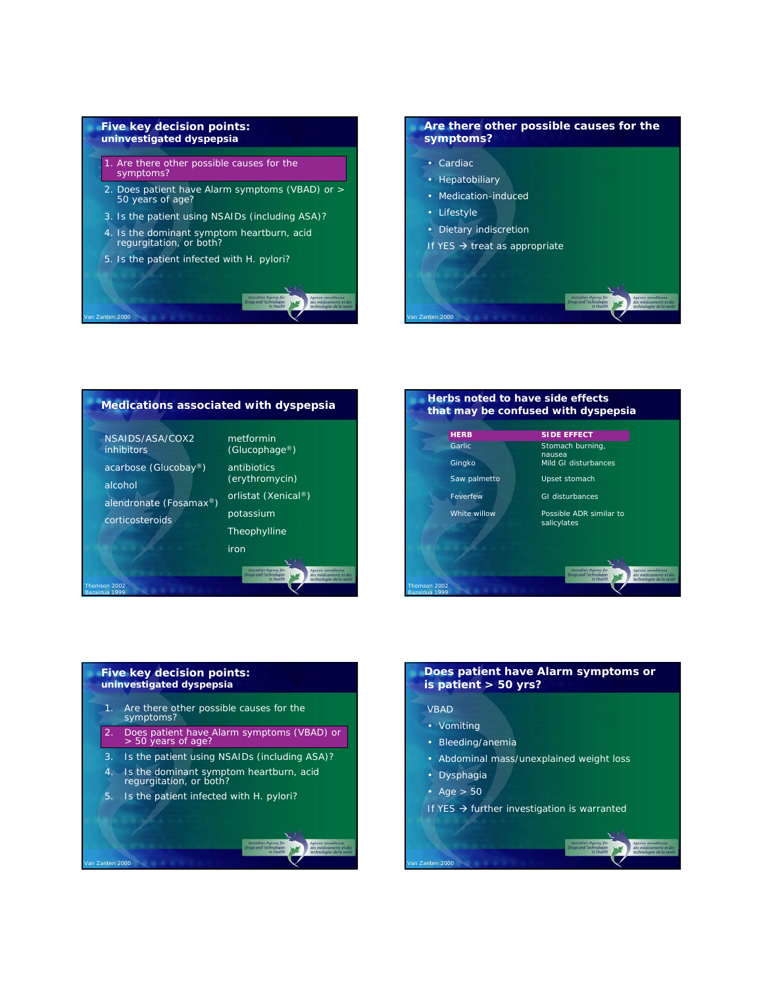#### **Five key decision points: uninvestigated dyspepsia**

- 1. Are there other possible causes for the symptoms?
- 2. Does patient have Alarm symptoms (VBAD) or > 50 years of age?
- 3. Is the patient using NSAIDs (including ASA)?
- 4. Is the dominant symptom heartburn, acid regurgitation, or both?
- 5. Is the patient infected with *H. pylori*?

*Van Zanten 2000*

*Bazaldua 1999*

*Van Zanten 2000*

#### **Are there other possible causes for the symptoms?** • Cardiac

- Hepatobiliary
- Medication-induced
- Lifestyle

*Van Zanten 2000*

- Dietary indiscretion
- If YES  $\rightarrow$  treat as appropriate

#### **Medications associated with dyspepsia** NSAIDS/ASA/COX2 inhibitors acarbose (Glucobay®) alcohol alendronate (Fosamax®) corticosteroids metformin (Glucophage®) antibiotics (erythromycin) orlistat (Xenical®) potassium Theophylline iron *Thomson 2002*



## **Five key decision points: uninvestigated dyspepsia** 1. Are there other possible causes for the symptoms? 2. Does patient have Alarm symptoms (VBAD) or > 50 years of age? 3. Is the patient using NSAIDs (including ASA)? 4. Is the dominant symptom heartburn, acid regurgitation, or both? 5. Is the patient infected with *H. pylori*?

#### **Does patient have Alarm symptoms or is patient > 50 yrs?**

#### VBAD

- Vomiting
- Bleeding/anemia
- Abdominal mass/unexplained weight loss
- Dysphagia
- Age  $> 50$

*Van Zanten 2000*

If YES  $\rightarrow$  further investigation is warranted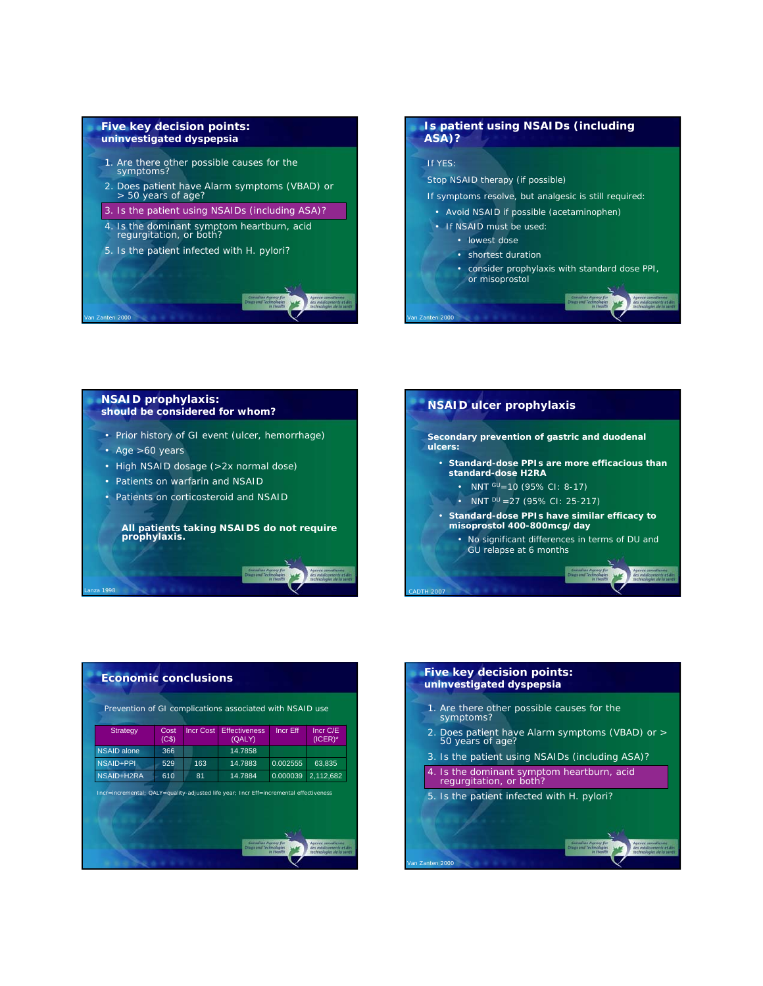#### **Five key decision points: uninvestigated dyspepsia**

- 1. Are there other possible causes for the symptoms?
- 2. Does patient have Alarm symptoms (VBAD) or > 50 years of age?
- 3. Is the patient using NSAIDs (including ASA)?
- 4. Is the dominant symptom heartburn, acid regurgitation, or both?
- 5. Is the patient infected with *H. pylori*?

#### **Is patient using NSAIDs (including ASA)?**

#### If YES:

*Van Zanten 2000*

Stop NSAID therapy (if possible)

- If symptoms resolve, but analgesic is still required:
- Avoid NSAID if possible (acetaminophen)
- If NSAID must be used:
	- lowest dose
	- shortest duration
	- consider prophylaxis with standard dose PPI, or misoprostol

#### **NSAID prophylaxis: should be considered for whom?**

- Prior history of GI event (ulcer, hemorrhage)
- Age >60 years

*Van Zanten 2000*

*Lanza 1998*

- High NSAID dosage (>2x normal dose)
- Patients on warfarin and NSAID
- Patients on corticosteroid and NSAID

#### **All patients taking NSAIDS do not require prophylaxis.**



| <b>Strategy</b>                                                                       | Cost<br>(C <sub>S</sub> ) | <b>Incr Cost</b> | <b>Effectiveness</b><br>(QALY) | Incr Eff | Incr C/E<br>$(ICER)^*$ |
|---------------------------------------------------------------------------------------|---------------------------|------------------|--------------------------------|----------|------------------------|
| <b>NSAID alone</b>                                                                    | 366                       |                  | 14.7858                        |          |                        |
| <b>NSAID+PPI</b>                                                                      | 529                       | 163              | 14.7883                        | 0.002555 | 63.835                 |
| NSAID+H2RA                                                                            | 610                       | 81               | 14.7884                        | 0.000039 | 2,112,682              |
| Incr-incremental; QALY-quality-adjusted life year; Incr Eff-incremental effectiveness |                           |                  |                                |          |                        |

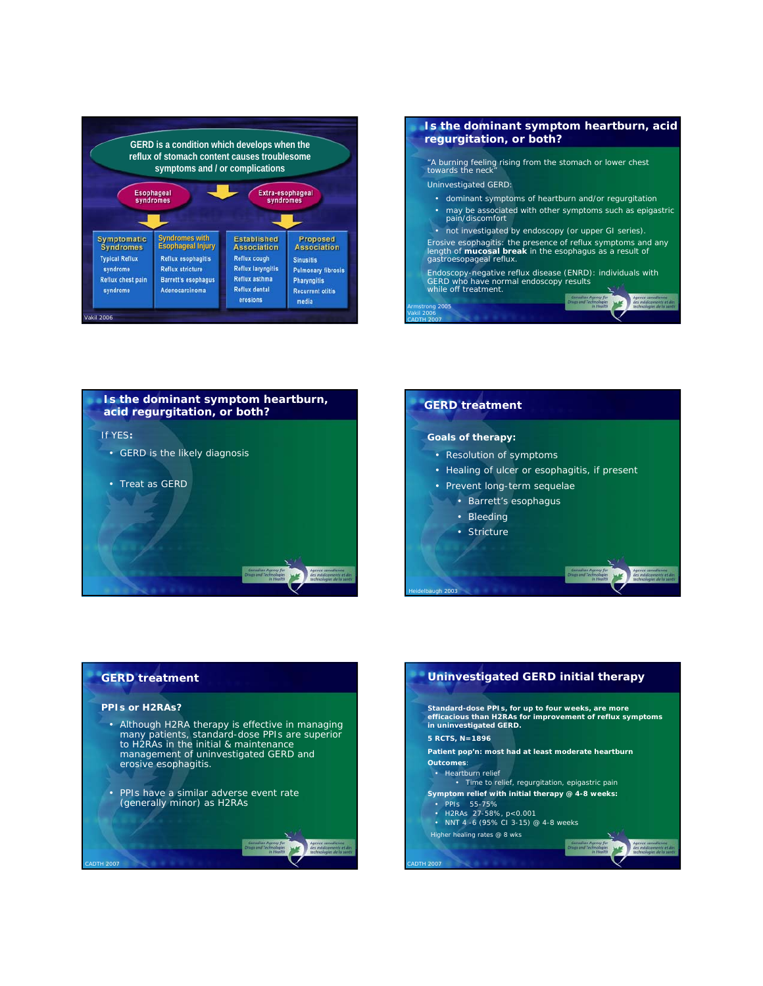



*Vakil 2006 CADTH 2007*





#### **GERD treatment**

#### *PPIs or H2RAs?*

*CADTH 2007*

- Although H2RA therapy is effective in managing many patients, standard-dose PPIs are superior to H2RAs in the initial & maintenance management of uninvestigated GERD and erosive esophagitis.
- PPIs have a similar adverse event rate (generally minor) as H2RAs

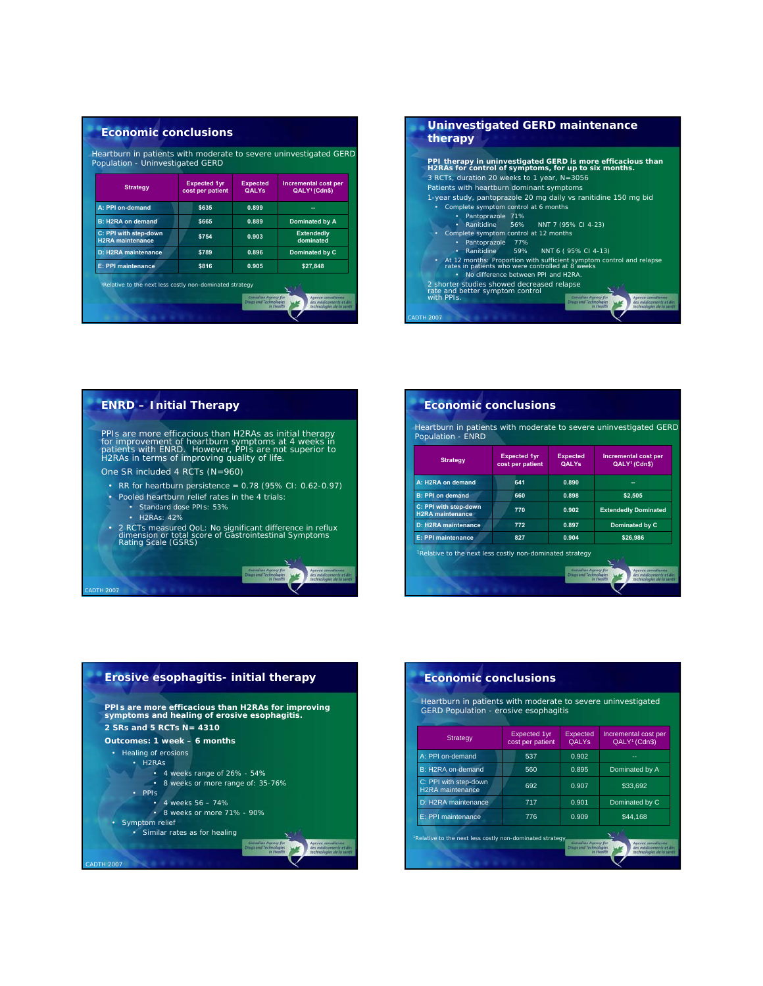| Population - Uninvestigated GERD                 |                                         |                                 |                                                          |
|--------------------------------------------------|-----------------------------------------|---------------------------------|----------------------------------------------------------|
| <b>Strategy</b>                                  | <b>Expected 1yr</b><br>cost per patient | <b>Expected</b><br><b>OALYs</b> | <b>Incremental cost per</b><br>QALY <sup>1</sup> (Cdn\$) |
| A: PPI on-demand                                 | \$635                                   | 0.899                           |                                                          |
| <b>B: H2RA on demand</b>                         | \$665                                   | 0.889                           | Dominated by A                                           |
| C: PPI with step-down<br><b>H2RA</b> maintenance | \$754                                   | 0.903                           | <b>Extendedly</b><br>dominated                           |
| D: H2RA maintenance                              | \$789                                   | 0.896                           | Dominated by C                                           |
| <b>E: PPI maintenance</b>                        | \$816                                   | 0.905                           | \$27,848                                                 |





| <b>Strategy</b>                                  | <b>Expected 1yr</b><br>cost per patient | <b>Expected</b><br><b>QALYs</b> | <b>Incremental cost per</b><br>QALY <sup>1</sup> (Cdn\$) |
|--------------------------------------------------|-----------------------------------------|---------------------------------|----------------------------------------------------------|
| A: H2RA on demand                                | 641                                     | 0.890                           | --                                                       |
| <b>B: PPI on demand</b>                          | 660                                     | 0.898                           | \$2,505                                                  |
| C: PPI with step-down<br><b>H2RA</b> maintenance | 770                                     | 0.902                           | <b>Extendedly Dominated</b>                              |
| D: H2RA maintenance                              | 772                                     | 0.897                           | Dominated by C                                           |
| <b>E: PPI maintenance</b>                        | 827                                     | 0.904                           | \$26,986                                                 |



#### **Economic conclusions**

Heartburn in patients with moderate to severe uninvestigated GERD Population - erosive esophagitis

| Strategy                                                             | <b>Expected 1yr</b><br>cost per patient | Expected<br><b>OALYS</b>                      | Incremental cost per<br>QALY <sup>1</sup> (Cdn\$)                                    |
|----------------------------------------------------------------------|-----------------------------------------|-----------------------------------------------|--------------------------------------------------------------------------------------|
| A: PPI on-demand                                                     | 537                                     | 0.902                                         | --                                                                                   |
| B: H2RA on-demand                                                    | 560                                     | 0.895                                         | Dominated by A                                                                       |
| C: PPI with step-down<br>H <sub>2</sub> RA maintenance               | 692                                     | 0.907                                         | \$33,692                                                                             |
| D: H2RA maintenance                                                  | 717                                     | 0.901                                         | Dominated by C                                                                       |
| E: PPI maintenance                                                   | 776                                     | 0.909                                         | \$44.168                                                                             |
| <sup>1</sup> Relative to the next less costly non-dominated strategy |                                         | Canadian Agency for<br>Drugs and Technologies | Agence canadienne<br>des médicaments et des<br>In Health<br>technologies de la santé |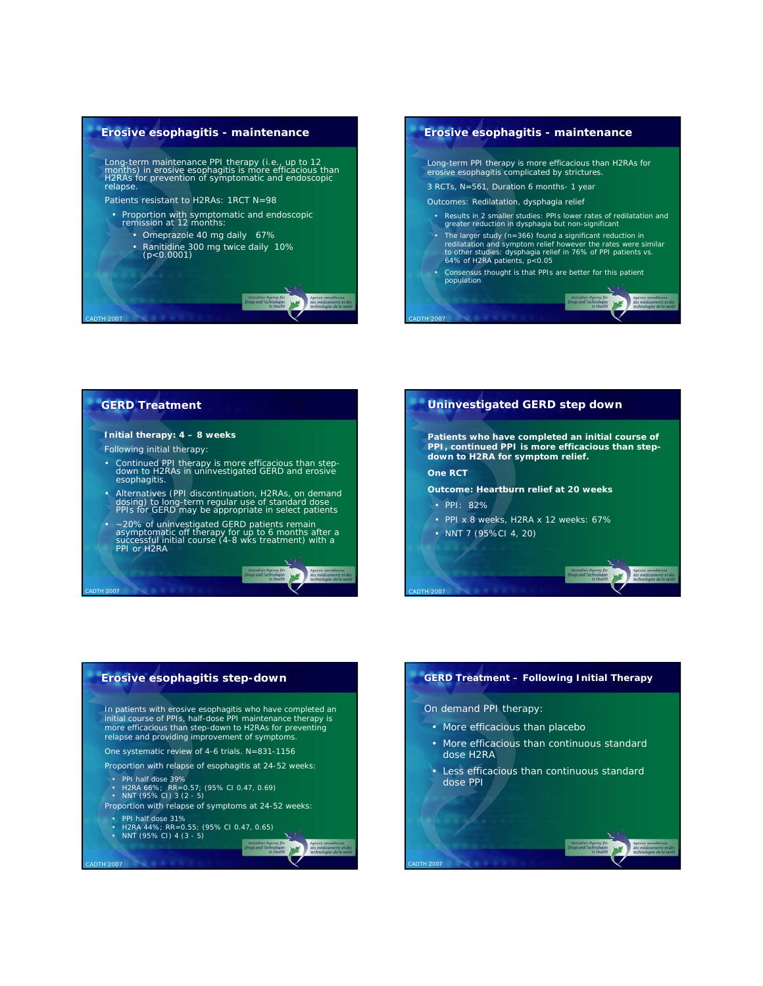



#### **GERD Treatment**

*CADTH 2007*

*CADTH 2007*

*CADTH 2007*

#### **Initial therapy: 4 – 8 weeks**

- Following initial therapy:
- Continued PPI therapy is more efficacious than step-down to H2RAs in uninvestigated GERD and erosive esophagitis.
- Alternatives (PPI discontinuation, H2RAs, on demand dosing) to long-term regular use of standard dose PPIs for GERD may be appropriate in select patients
- ~20% of uninvestigated GERD patients remain asymptomatic off therapy for up to 6 months after a successful initial course (4-8 wks treatment) with a PPI or H2RA

严





## 冰

#### **GERD Treatment – Following Initial Therapy**

*On demand PPI therapy:*

*CADTH 2007*

- More efficacious than placebo
- More efficacious than continuous standard dose H2RA
- Less efficacious than continuous standard dose PPI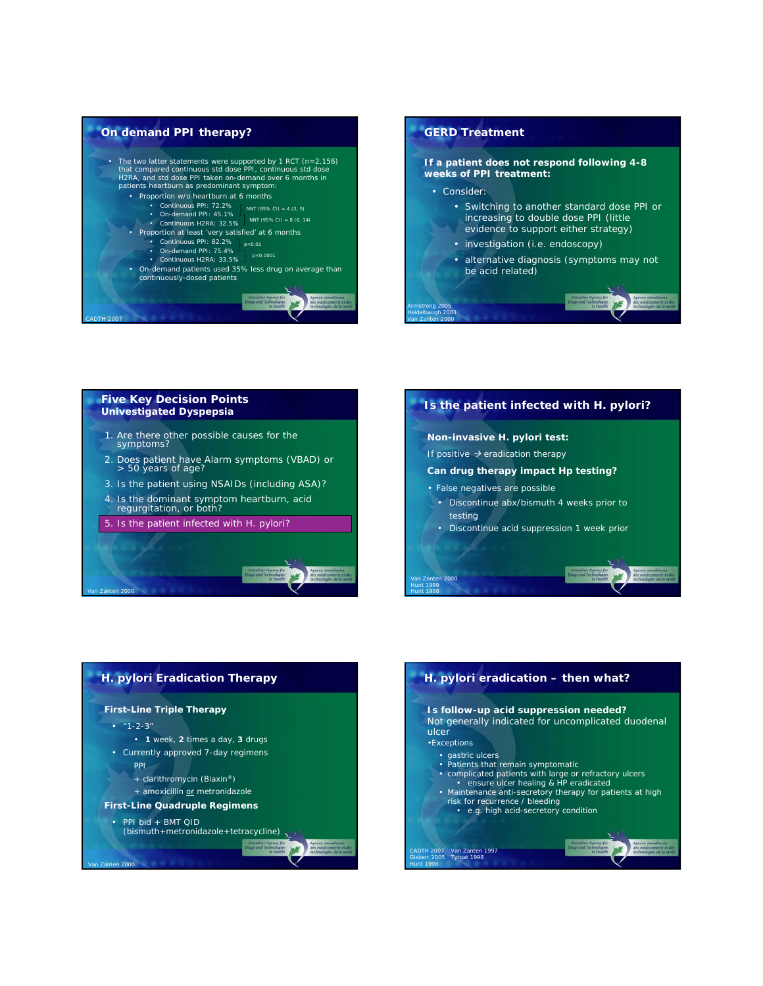



*Van Zanten 2000*

#### **Five Key Decision Points Univestigated Dyspepsia**

- 1. Are there other possible causes for the symptoms?
- 2. Does patient have Alarm symptoms (VBAD) or > 50 years of age?
- 3. Is the patient using NSAIDs (including ASA)?
- 4. Is the dominant symptom heartburn, acid regurgitation, or both?
- 5. Is the patient infected with *H. pylori*?

*Van Zanten 2000*





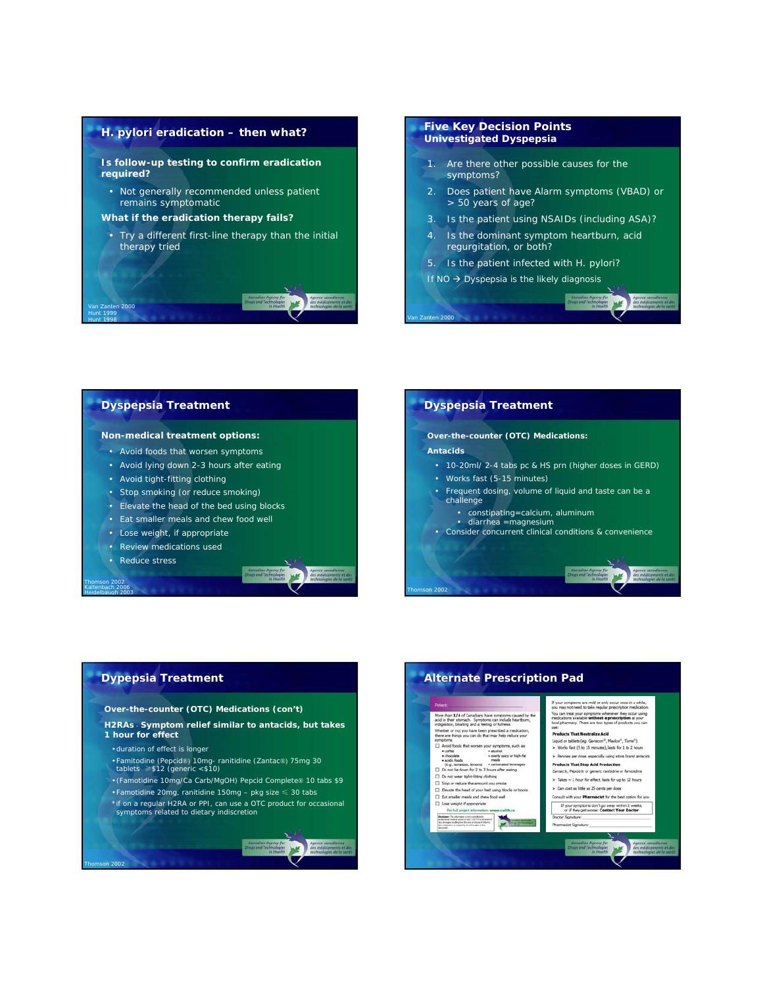#### *H. pylori* **eradication – then what?**

*Is follow-up testing to confirm eradication required?*

- Not generally recommended *unless* patient remains symptomatic
- *What if the eradication therapy fails?*
- Try a different first-line therapy than the initial therapy tried

#### **Five Key Decision Points Univestigated Dyspepsia**

- 1. Are there other possible causes for the symptoms?
- 2. Does patient have Alarm symptoms (VBAD) or > 50 years of age?

准

- 3. Is the patient using NSAIDs (including ASA)?
- 4. Is the dominant symptom heartburn, acid regurgitation, or both?
- 5. Is the patient infected with *H. pylori*?
- If  $NO \rightarrow Dyspepsia$  is the likely diagnosis

*Van Zanten 2000*

*Thomson 2002*

#### **Dyspepsia Treatment**

*Van Zanten 2000 Hunt 1999 Hunt 1998*

#### *Non-medical treatment options:*

- Avoid foods that worsen symptoms
- Avoid lying down 2-3 hours after eating
- Avoid tight-fitting clothing
- Stop smoking (or reduce smoking)
- Elevate the head of the bed using blocks
- Eat smaller meals and chew food well
- Lose weight, if appropriate
- Review medications used
- Reduce stress

*Thomson 2002 Kaltenbach 2006 Heidelbaugh 2003*

*Thomson 2002*

#### **Dyspepsia Treatment** *Over-the-counter (OTC) Medications: Antacids*  • 10-20ml/ 2-4 tabs pc & HS prn (higher doses in GERD) • Works fast (5-15 minutes) • Frequent dosing, volume of liquid and taste can be a challenge • constipating=calcium, aluminum • diarrhea =magnesium • Consider concurrent clinical conditions & convenience

#### **Dypepsia Treatment**

- *Over-the-counter (OTC) Medications (con't)*
- *H2RAs* **Symptom relief similar to antacids, but takes 1 hour for effect**
	- •duration of effect is longer
	- Famitodine (Pepcid®) 10mg- ranitidine (Zantac®) 75mg 30 tablets ≥\$12 (generic <\$10)
- (Famotidine 10mg/Ca Carb/MgOH) Pepcid Complete® 10 tabs \$9
- Famotidine 20mg, ranitidine 150mg pkg size ≤ 30 tabs
- \*if on a regular H2RA or PPI, can use a OTC product for occasional symptoms related to dietary indiscretion

#### **Alternate Prescription Pad**emptoms are mild or only occur once in a while,<br>not need to take regular prescription medication Proven:<br>
The main  $\mathbf{M}$  of Constitute have a<br>remistring caused by the set of the first bank of the distribution, the<br>strip and a feating of fullness. Hereby, the set of the model of<br>the main of the main of the model of eat your symptoms whenever they occur using<br>is available **without a prescription** at your<br>macy. There are two types of products you can ducts That Neutralize Acid Liquid or tablets (eg. Gaviscon<sup>10</sup>, Maalox<sup>10</sup>, Turns<sup>11</sup>)<br>> Works fast (5 to 15 minutes), lasts for 1 to 2 hours > Pennies per dose, especially using store brand antacids **Products That Stop Acid Production** Zantacili, Pepódili or generic ranitidine or famotidine Takes  $\sim$  1 hour for effect, lasts for up to 12 hours > Can cost as little as 25 cents per dose sult with your Pharmacist for the best option for you If your symptoms don't go away within 2 weeks,<br>or if they get worse: Contact Your Doctor Doctor Signature  $\sum_{i=1}^n\frac{1}{i}$ badanan (ha elevadan a vila SAS) e artista (h. 1955).<br>18 de abril: Antonio de America (h. 1957).<br>18 de abril: Antonio de America de Barra.<br>18 de abril: Antonio de America de Barra. Pharmacist Signature: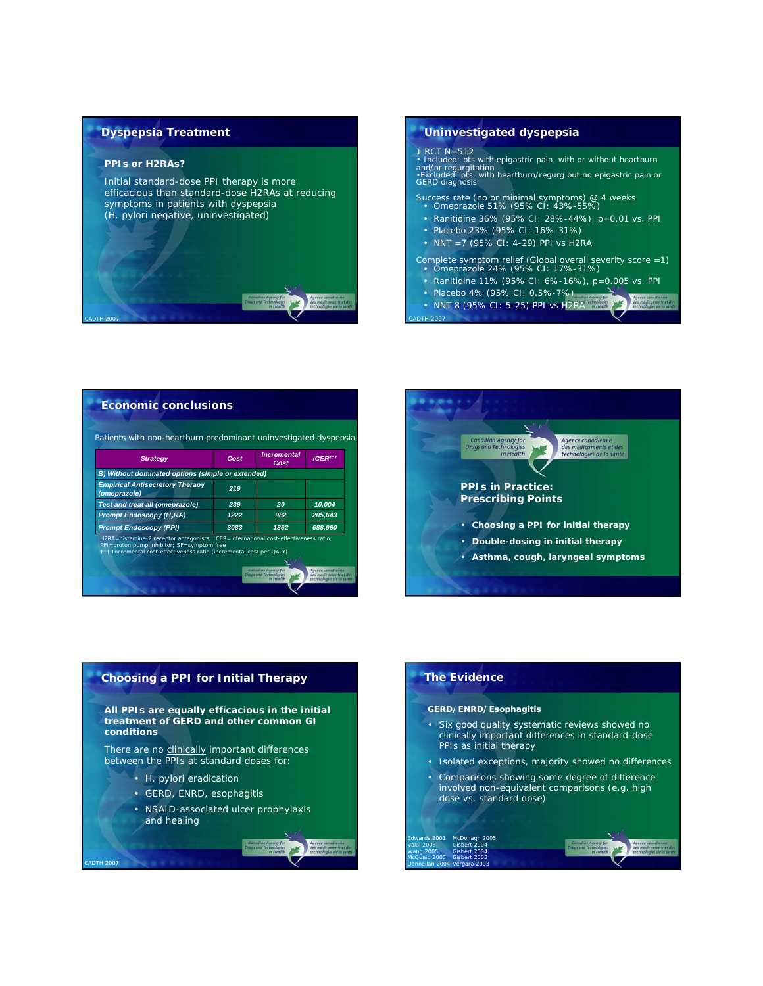#### **Dyspepsia Treatment**

#### *PPIs or H2RAs?*

*Initial standard-dose PPI therapy is more efficacious than standard-dose H2RAs at reducing symptoms in patients with dyspepsia (H. pylori negative, uninvestigated*)

# *CADTH 2007*

#### **Uninvestigated dyspepsia**

*CADTH 2007*

1 RCT N=512 • *Included: pts with epigastric pain, with or without heartburn and/or regurgitation* •*Excluded: pts. with heartburn/regurg but no epigastric pain or GERD diagnosis*

Success rate (no or minimal symptoms) @ 4 weeks • Omeprazole 51% (95% CI: 43%-55%)

- Ranitidine 36% (95% CI: 28%-44%), p=0.01 vs. PPI
- Placebo 23% (95% CI: 16%-31%)
- NNT =7 (95% CI: 4-29) PPI vs H2RA

Complete symptom relief (Global overall severity score =1) • Omeprazole 24% (95% CI: 17%-31%)

- 
- Ranitidine 11% (95% CI: 6%-16%), p=0.005 vs. PPI
- Placebo 4% (95% CI: 0.5%-7%)
- NNT 8 (95% CI: 5-25) PPI vs H2RA

|                                                        | Cost | Cost | <b>ICERttt</b> |
|--------------------------------------------------------|------|------|----------------|
| B) Without dominated options (simple or extended)      |      |      |                |
| <b>Empirical Antisecretory Therapy</b><br>(omeprazole) | 219  |      |                |
| <b>Test and treat all (omeprazole)</b>                 | 239  | 20   | 10,004         |
| <b>Prompt Endoscopy (H<sub>2</sub>RA)</b>              | 1222 | 982  | 205,643        |
| <b>Prompt Endoscopy (PPI)</b>                          | 3083 | 1862 | 688,990        |



#### **Choosing a PPI for Initial Therapy**

#### *All PPIs are equally efficacious in the initial treatment of GERD and other common GI conditions*

*There are no clinically important differences between the PPIs at standard doses for:*

• *H. pylori* eradication

*CADTH 2007*

- GERD, ENRD, esophagitis
- NSAID-associated ulcer prophylaxis and healing

#### **The Evidence**

*Edwards 2001 Vakil 2003 Wang 2005 McQuaid 2005 Donnellan 2004* 

#### *GERD/ENRD/Esophagitis*

*McDonagh 2005 Gisbert 2004 Gisbert 2004 Gisbert 2003 Vergara 2003*

- *Six good quality systematic reviews showed no clinically important differences in standard-dose PPIs as initial therapy*
- *Isolated exceptions, majority showed no differences*
- *Comparisons showing some degree of difference involved non-equivalent comparisons (e.g. high dose vs. standard dose)*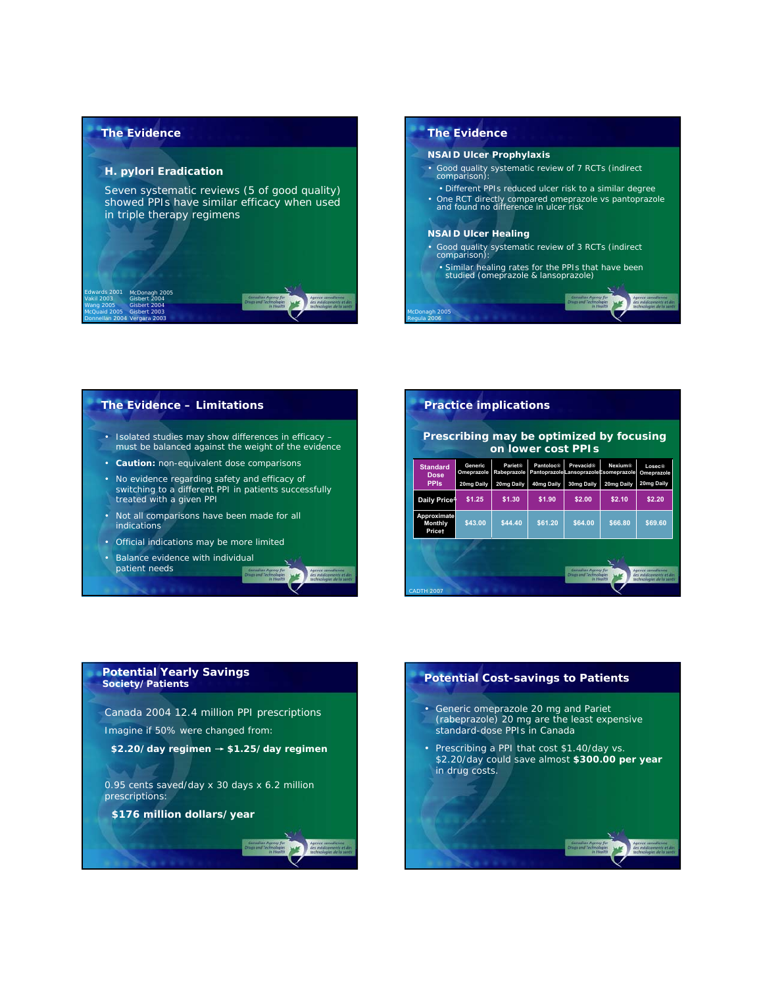#### **The Evidence**

#### *H. pylori Eradication*

*Seven systematic reviews (5 of good quality) showed PPIs have similar efficacy when used in triple therapy regimens*

#### *Edwards 2001 Vakil 2003 Wang 2005 McQuaid 2005 Donnellan 2004 McDonagh 2005 Gisbert 2004 Gisbert 2004 Gisbert 2003 Vergara 2003*

#### **The Evidence**

#### *NSAID Ulcer Prophylaxis*

- *Good quality systematic review of 7 RCTs (indirect comparison):*
- Different PPIs reduced ulcer risk to a similar degree
- *One RCT directly compared omeprazole vs pantoprazole and found no difference in ulcer risk*

#### *NSAID Ulcer Healing*

*McDonagh 2005 Regula 2006*

- *Good quality systematic review of 3 RCTs (indirect comparison):*
- Similar healing rates for the PPIs that have been studied (omeprazole & lansoprazole)

#### **The Evidence – Limitations**

- *Isolated studies may show differences in efficacy – must be balanced against the weight of the evidence*
- *Caution: non-equivalent dose comparisons*
- *No evidence regarding safety and efficacy of switching to a different PPI in patients successfully treated with a given PPI*
- *Not all comparisons have been made for all indications*
- *Official indications may be more limited*
- *Balance evidence with individual*

### *patient needs*

#### **Practice implications** *Prescribing may be optimized by focusing on lower cost PPIs CADTH 2007* **Losec® Omeprazole 20mg Daily Daily Price<sup>Δ</sup> \$1.25 \$1.30 \$1.90 \$2.00 \$2.10 \$2.20 \$64.00 \$66.80 \$69.60** Ge **Omeprazole 20mg Daily Pariet® Rabeprazole 20mg Daily Nexium® Esomeprazole 20mg Daily \$44.40 \$61.20 Pant Pantoprazole 40mg Daily Prevacid® Lansoprazole 30mg Daily Standard Dose PPIs \$43.00 Approximate Monthly Price†**

#### **Potential Yearly Savings**  *Society/Patients*

Canada 2004 12.4 million PPI prescriptions

Imagine if 50% were changed from:

**\$2.20/day regimen** → **\$1.25/day regimen**

0.95 cents saved/day x 30 days x 6.2 million prescriptions:

**\$176 million dollars/year**

## **Potential Cost-savings to Patients** • *Generic omeprazole 20 mg and Pariet (rabeprazole) 20 mg are the least expensive standard-dose PPIs in Canada* • *Prescribing a PPI that cost \$1.40/day vs. \$2.20/day could save almost \$300.00 per year in drug costs.*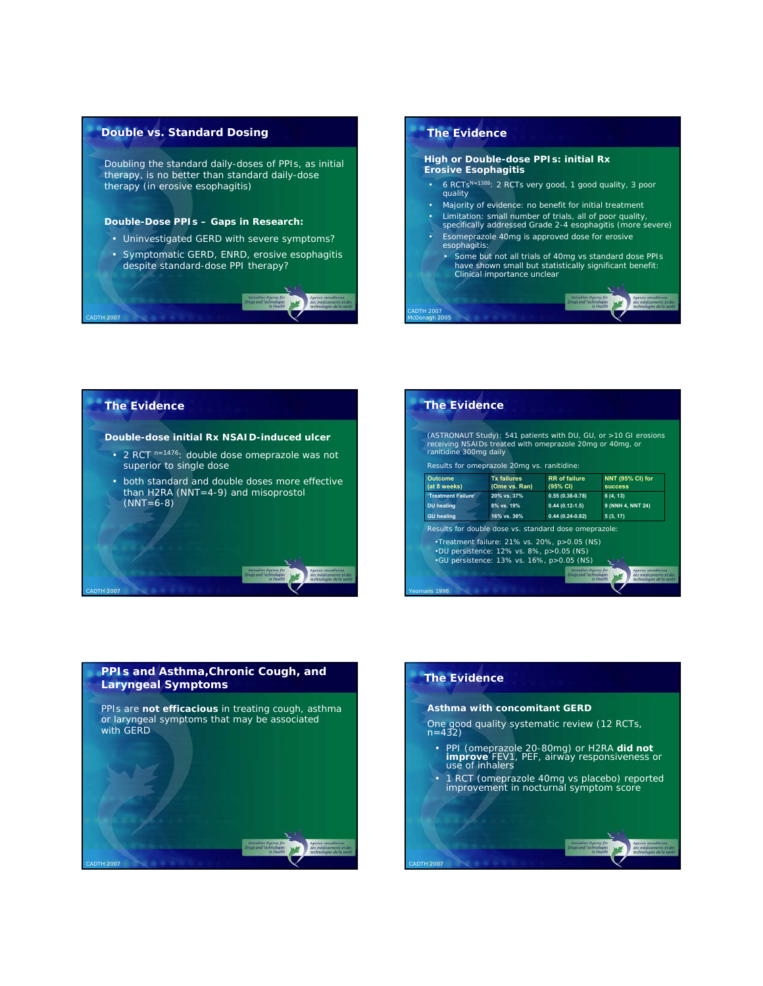#### **Double vs. Standard Dosing**

*Doubling the standard daily-doses of PPIs, as initial therapy, is no better than standard daily-dose therapy (in erosive esophagitis)*

#### *Double-Dose PPIs – Gaps in Research:*

- Uninvestigated GERD with severe symptoms?
- Symptomatic GERD, ENRD, erosive esophagitis despite standard-dose PPI therapy?

#### **The Evidence**

*CADTH 2007 McDonagh 2005*

*Yeomans 1998*

*CADTH 2007*

#### *High or Double-dose PPIs: initial Rx Erosive Esophagitis*

- 6 RCTsN=1388: 2 RCTs very good, 1 good quality, 3 poor quality
- Majority of evidence: no benefit for initial treatment
- Limitation: small number of trials, all of poor quality, specifically addressed Grade 2-4 esophagitis (more severe) • Esomeprazole 40mg is approved dose for erosive
- esophagitis:
	- Some but not all trials of 40mg vs standard dose PPIs have shown small but statistically significant benefit: Clinical importance unclear

#### **The Evidence**

*CADTH 2007*

*CADTH 2007*

*CADTH 2007*

#### *Double-dose initial Rx NSAID-induced ulcer*

- 2 RCT n=1476: double dose omeprazole was not superior to single dose
- both standard and double doses more effective than H2RA (NNT=4-9) and misoprostol  $(NNT=6-8)$

| ranitidine 300mg daily         | receiving NSAIDs treated with omeprazole 20mg or 40mg, or<br>Results for omeprazole 20mq vs. ranitidine:                                                                                                       |                                  |                                           |
|--------------------------------|----------------------------------------------------------------------------------------------------------------------------------------------------------------------------------------------------------------|----------------------------------|-------------------------------------------|
| <b>Outcome</b><br>(at 8 weeks) | <b>Tx failures</b><br>(Ome vs. Ran)                                                                                                                                                                            | <b>RR</b> of failure<br>(95% CI) | <b>NNT (95% CI) for</b><br><b>SUCCeSS</b> |
| 'Treatment Failure'            | 20% vs. 37%                                                                                                                                                                                                    | $0.55(0.38-0.78)$                | 6(4, 13)                                  |
| <b>DU</b> healing              | 8% vs. 19%                                                                                                                                                                                                     | $0.44(0.12-1.5)$                 | 9 (NNH 4, NNT 24)                         |
| <b>GU</b> healing              | 16% vs. 36%                                                                                                                                                                                                    | $0.44(0.24-0.82)$                | 5(3, 17)                                  |
|                                | Results for double dose vs. standard dose omeprazole:<br>.Treatment failure: 21% vs. 20%, p>0.05 (NS)<br>$\cdot$ DU persistence: 12% vs. 8%, p > 0.05 (NS)<br>$\cdot$ GU persistence: 13% vs. 16%, p>0.05 (NS) | Canadian Agency for              | Agence canadienne                         |

## **PPIs and Asthma,Chronic Cough, and Laryngeal Symptoms** *PPIs are not efficacious in treating cough, asthma or laryngeal symptoms that may be associated with GERD*

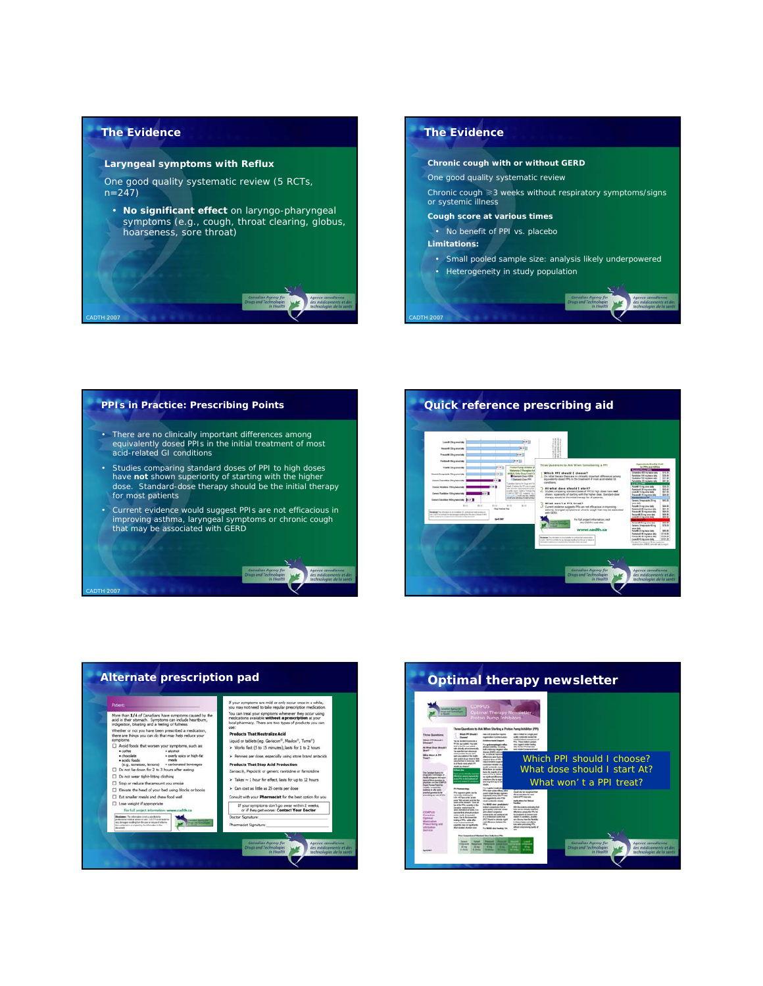

*CADTH 2007*

#### **Laryngeal symptoms with Reflux**

One good quality systematic review (5 RCTs,  $n=247$ 

• **No significant effect** on laryngo-pharyngeal symptoms (e.g., cough, throat clearing, globus, hoarseness, sore throat)

#### **The Evidence**

*CADTH 2007*

#### **Chronic cough with or without GERD**

- One good quality systematic review
- Chronic cough ≥3 weeks without respiratory symptoms/signs or systemic illness

#### **Cough score at various times**

- No benefit of PPI vs. placebo
- **Limitations:**
- Small pooled sample size: analysis likely underpowered
- Heterogeneity in study population

## **PPIs in Practice: Prescribing Points**

- There are no clinically important differences among equivalently dosed PPIs in the initial treatment of most acid-related GI conditions
- Studies comparing standard doses of PPI to high doses have **not** shown superiority of starting with the higher dose. Standard-dose therapy should be the initial therapy for most patients
- Current evidence would suggest PPIs are not efficacious in improving asthma, laryngeal symptoms or chronic cough that may be associated with GERD

## *CADTH 2007*





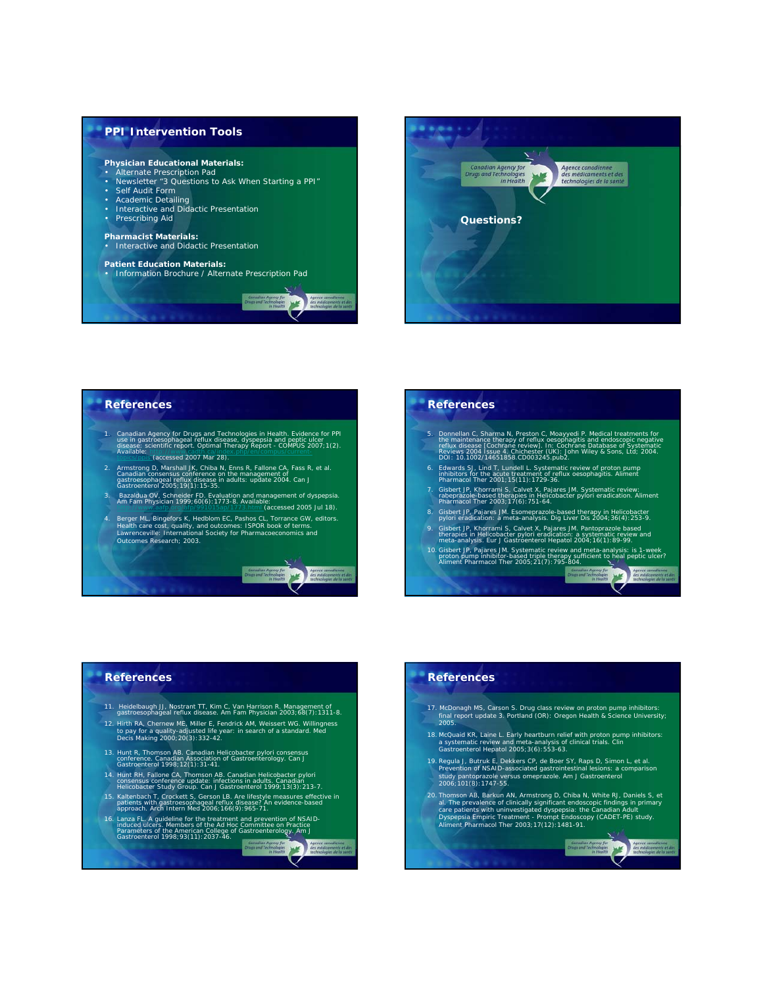



#### **References**

1. Canadian Agency for Drugs and Technologies in Health. Evidence for PPI<br>use in gastroesophageal reflux disease, dyspepsia and peptic ulcer<br>disease: scientific report. Optimal Therapy Report - COMPUS 2007;1(2).<br>Available:

Agence can **WE** 

Agence candidates

- 
- 2. Armstrong D, Marshall JK, Chiba N, Enns R, Fallone CA, Fass R, et al.<br>Canadian consensus conference on the management of<br>gastroesophageal reflux disease in adults: update 2004. Can J<br>Gastroenterol 2005; 19(1): 15-35.
- 3*. Bazaldua OV, Schneider FD. Evaluation and management of dyspepsia.*  Am Fam Physician *1999;60(6):1773-8. Available: http://www.aafp.org/afp/991015ap/1773.html (accessed 2005 Jul 18).*
- 4. Berger ML, Bingefors K, Hedblom EC, Pashos CL, Torrance GW, editors.<br>Health care cost, quality, and outcomes: ISPOR book of terms.<br>Lawrenceville: International Society for Pharmacoeconomics and<br>Outcomes Research: 2003.

#### **References**

- 5. Donnellan C, Sharma N, Preston C, Moayyedi P. Medical treatments for<br>the maintenance therapy of reflux oesophagitis and endoscopic negative<br>reflux disease [Cochrane review]. In: Cochrane Database of Systematic<br>Reviews 2
- 6. *Edwards SJ, Lind T, Lundell L. Systematic review of proton pump inhibitors for the acute treatment of reflux oesophagitis.* Aliment Pharmacol Ther *2001;15(11):1729-36.*
- *7. Gisbert JP, Khorrami S, Calvet X, Pajares JM. Systematic review: rabeprazole-based therapies in Helicobacter pylori eradication.* Aliment Pharmacol Ther *2003;17(6):751-64.*
- *8. Gisbert JP, Pajares JM. Esomeprazole-based therapy in Helicobacter pylori eradication: a meta-analysis.* Dig Liver Dis *2004;36(4):253-9.*
- 9. Gisbert JP, Khorrami S, Calvet X, Pajares JM. Pantoprazole based<br>therapies in Helicobacter pylori eradication: a systematic review and<br>meta-analysis. Eur J Gastroenterol Hepatol 2004; 16(1):89-99.
- *10. Gisbert JP, Pajares JM. Systematic review and meta-analysis: is 1-week proton pump inhibitor-based triple therapy sufficient to heal peptic ulcer?*  Aliment Pharmacol Ther *2005;21(7):795-804.* Maria Maria

#### **References**

- *11. Heidelbaugh JJ, Nostrant TT, Kim C, Van Harrison R. Management of gastroesophageal reflux disease.* Am Fam Physician *2003;68(7):1311-8.*
- *12. Hirth RA, Chernew ME, Miller E, Fendrick AM, Weissert WG. Willingness to pay for a quality-adjusted life year: in search of a standard*. Med Decis Making *2000;20(3):332-42*.
- *13. Hunt R, Thomson AB. Canadian Helicobacter pylori consensus conference. Canadian Association of Gastroenterology.* Can J Gastroenterol *1998;12(1):31-41.*
- *14. Hunt RH, Fallone CA, Thomson AB. Canadian Helicobacter pylori consensus conference update: infections in adults. Canadian Helicobacter Study Group.* Can J Gastroenterol *1999;13(3):213-7.*
- *15. Kaltenbach T, Crockett S, Gerson LB. Are lifestyle measures effective in patients with gastroesophageal reflux disease? An evidence-based approach.* Arch Intern Med *2006;166(9):965-71.*
- *16. Lanza FL. A guideline for the treatment and prevention of NSAID- induced ulcers. Members of the Ad Hoc Committee on Practice*
- *Parameters of the American College of Gastroenterology.* Am J Gastroenterol *1998;93(11):2037-46.*

#### **References**

- *17. McDonagh MS, Carson S.* Drug class review on proton pump inhibitors: final report update 3*. Portland (OR): Oregon Health & Science University; 2005.*
- *18. McQuaid KR, Laine L. Early heartburn relief with proton pump inhibitors: a systematic review and meta-analysis of clinical trials.* Clin Gastroenterol Hepatol *2005;3(6):553-63.*
- 19. Regula J, Butruk E, Dekkers CP, de Boer SY, Raps D, Simon L, et al.<br>Prevention of NSAID-associated gastrointestinal lesions: a comparison<br>study pantoprazole versus omeprazole. Am J Gastroenterol<br>2006: 101(8): 1747-55.
- 20. Thomson AB, Barkun AN, Armstrong D, Chiba N, White RJ, Daniels S, et<br>al. The prevalence of clinically significant endoscopic findings in primary<br>care patients with uninvestigated dyspepsia: the Canadian Adult<br>Dyspepsia